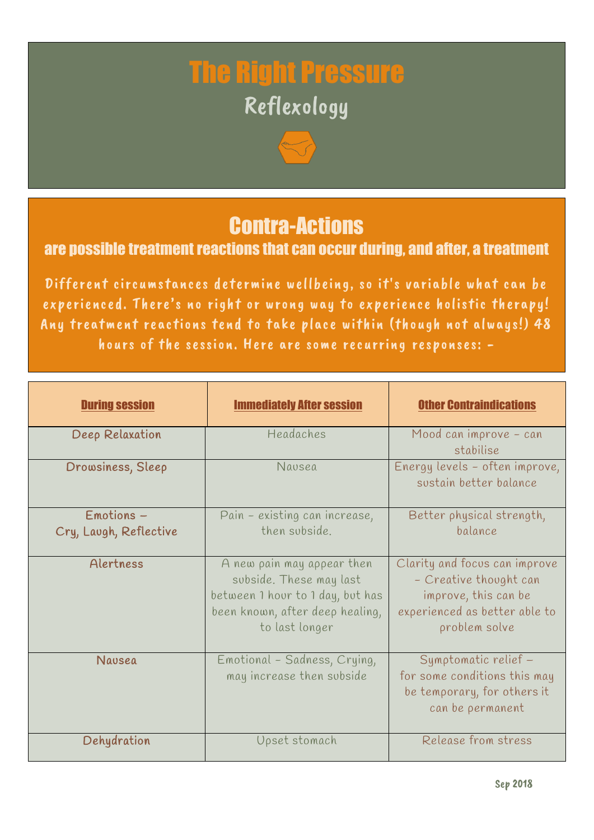# The Right Pressure Reflexology

### Contra-Actions

#### are possible treatment reactions that can occur during, and after, a treatment

Different circumstances determine wellbeing, so it's variable what can be experienced. There's no right or wrong way to experience holistic therapy! Any treatment reactions tend to take place within (though not always!) 48 hours of the session. Here are some recurring responses: -

| <b>During session</b>                  | <b>Immediately After session</b>                                                                                                               | <b>Other Contraindications</b>                                                                                                    |
|----------------------------------------|------------------------------------------------------------------------------------------------------------------------------------------------|-----------------------------------------------------------------------------------------------------------------------------------|
| Deep Relaxation                        | Headaches                                                                                                                                      | Mood can improve - can<br>stabilise                                                                                               |
| Drowsiness, Sleep                      | Nausea                                                                                                                                         | Energy levels - often improve,<br>sustain better balance                                                                          |
| $Emotions -$<br>Cry, Laugh, Reflective | Pain - existing can increase,<br>then subside.                                                                                                 | Better physical strength,<br>balance                                                                                              |
| Alertness                              | A new pain may appear then<br>subside. These may last<br>between 1 hour to 1 day, but has<br>been known, after deep healing,<br>to last longer | Clarity and focus can improve<br>- Creative thought can<br>improve, this can be<br>experienced as better able to<br>problem solve |
| Navsea                                 | Emotional - Sadness, Crying,<br>may increase then subside                                                                                      | Symptomatic relief -<br>for some conditions this may<br>be temporary, for others it<br>can be permanent                           |
| Dehydration                            | Upset stomach                                                                                                                                  | Release from stress                                                                                                               |